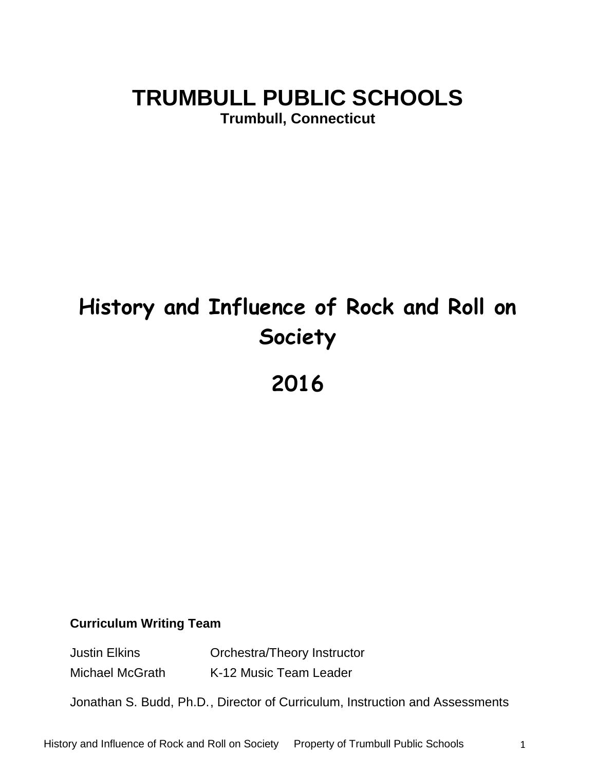# **TRUMBULL PUBLIC SCHOOLS**

**Trumbull, Connecticut**

# **History and Influence of Rock and Roll on Society**

**2016**

### **Curriculum Writing Team**

Justin Elkins Orchestra/Theory Instructor

Michael McGrath K-12 Music Team Leader

Jonathan S. Budd, Ph.D., Director of Curriculum, Instruction and Assessments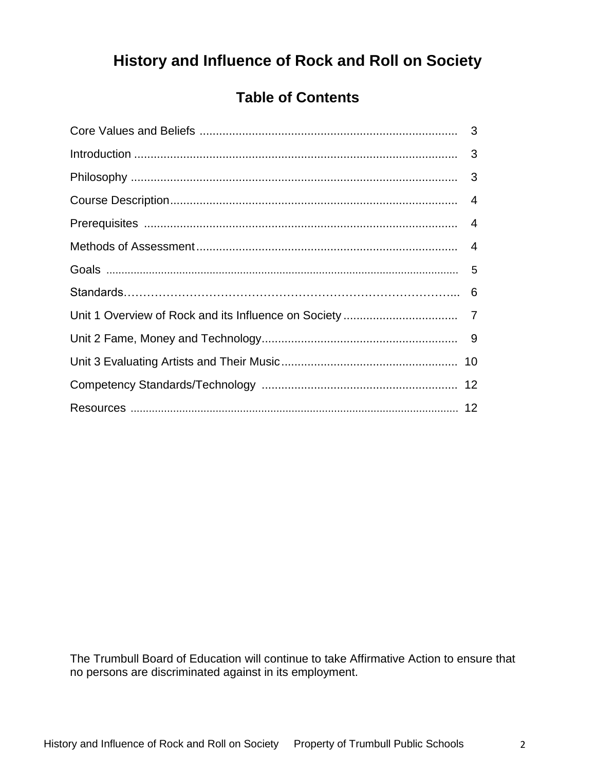# **History and Influence of Rock and Roll on Society**

# **Table of Contents**

The Trumbull Board of Education will continue to take Affirmative Action to ensure that no persons are discriminated against in its employment.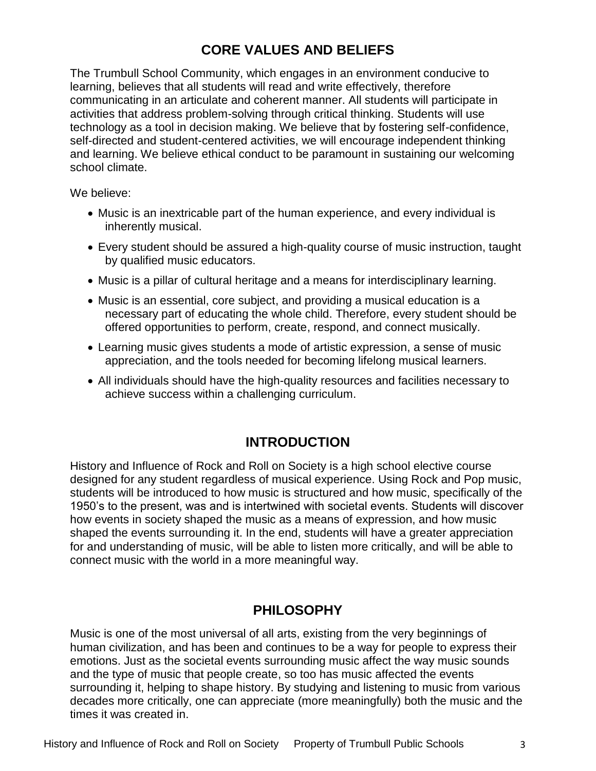# **CORE VALUES AND BELIEFS**

The Trumbull School Community, which engages in an environment conducive to learning, believes that all students will read and write effectively, therefore communicating in an articulate and coherent manner. All students will participate in activities that address problem-solving through critical thinking. Students will use technology as a tool in decision making. We believe that by fostering self-confidence, self-directed and student-centered activities, we will encourage independent thinking and learning. We believe ethical conduct to be paramount in sustaining our welcoming school climate.

We believe:

- Music is an inextricable part of the human experience, and every individual is inherently musical.
- Every student should be assured a high-quality course of music instruction, taught by qualified music educators.
- Music is a pillar of cultural heritage and a means for interdisciplinary learning.
- Music is an essential, core subject, and providing a musical education is a necessary part of educating the whole child. Therefore, every student should be offered opportunities to perform, create, respond, and connect musically.
- Learning music gives students a mode of artistic expression, a sense of music appreciation, and the tools needed for becoming lifelong musical learners.
- All individuals should have the high-quality resources and facilities necessary to achieve success within a challenging curriculum.

# **INTRODUCTION**

History and Influence of Rock and Roll on Society is a high school elective course designed for any student regardless of musical experience. Using Rock and Pop music, students will be introduced to how music is structured and how music, specifically of the 1950's to the present, was and is intertwined with societal events. Students will discover how events in society shaped the music as a means of expression, and how music shaped the events surrounding it. In the end, students will have a greater appreciation for and understanding of music, will be able to listen more critically, and will be able to connect music with the world in a more meaningful way.

# **PHILOSOPHY**

Music is one of the most universal of all arts, existing from the very beginnings of human civilization, and has been and continues to be a way for people to express their emotions. Just as the societal events surrounding music affect the way music sounds and the type of music that people create, so too has music affected the events surrounding it, helping to shape history. By studying and listening to music from various decades more critically, one can appreciate (more meaningfully) both the music and the times it was created in.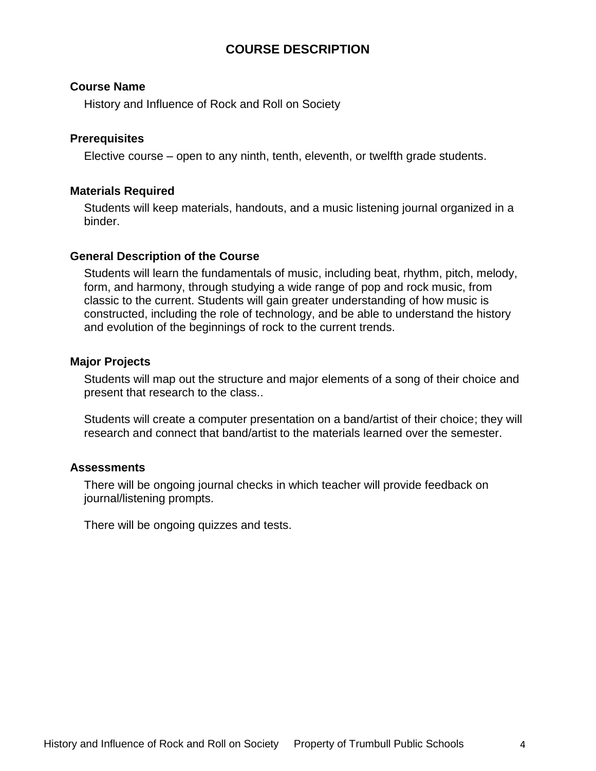#### **COURSE DESCRIPTION**

#### **Course Name**

History and Influence of Rock and Roll on Society

#### **Prerequisites**

Elective course – open to any ninth, tenth, eleventh, or twelfth grade students.

#### **Materials Required**

Students will keep materials, handouts, and a music listening journal organized in a binder.

#### **General Description of the Course**

Students will learn the fundamentals of music, including beat, rhythm, pitch, melody, form, and harmony, through studying a wide range of pop and rock music, from classic to the current. Students will gain greater understanding of how music is constructed, including the role of technology, and be able to understand the history and evolution of the beginnings of rock to the current trends.

#### **Major Projects**

Students will map out the structure and major elements of a song of their choice and present that research to the class..

Students will create a computer presentation on a band/artist of their choice; they will research and connect that band/artist to the materials learned over the semester.

#### **Assessments**

There will be ongoing journal checks in which teacher will provide feedback on journal/listening prompts.

There will be ongoing quizzes and tests.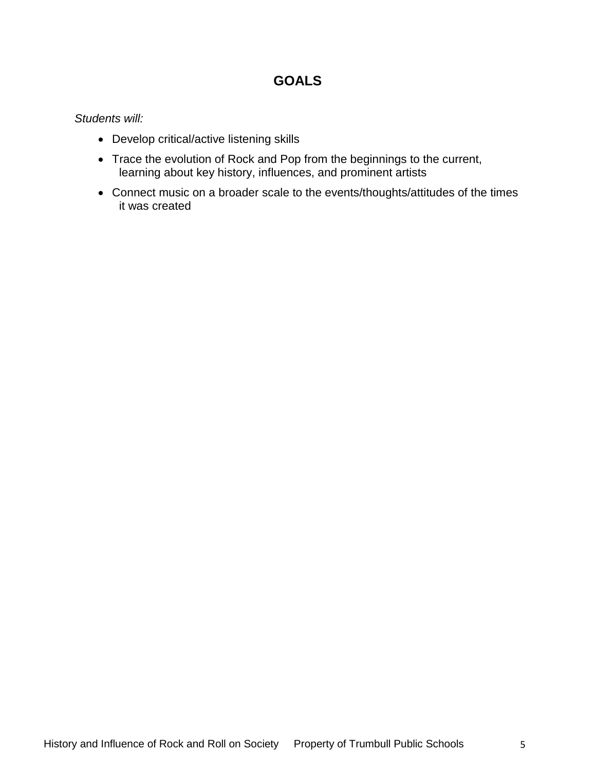### **GOALS**

#### *Students will:*

- Develop critical/active listening skills
- Trace the evolution of Rock and Pop from the beginnings to the current, learning about key history, influences, and prominent artists
- Connect music on a broader scale to the events/thoughts/attitudes of the times it was created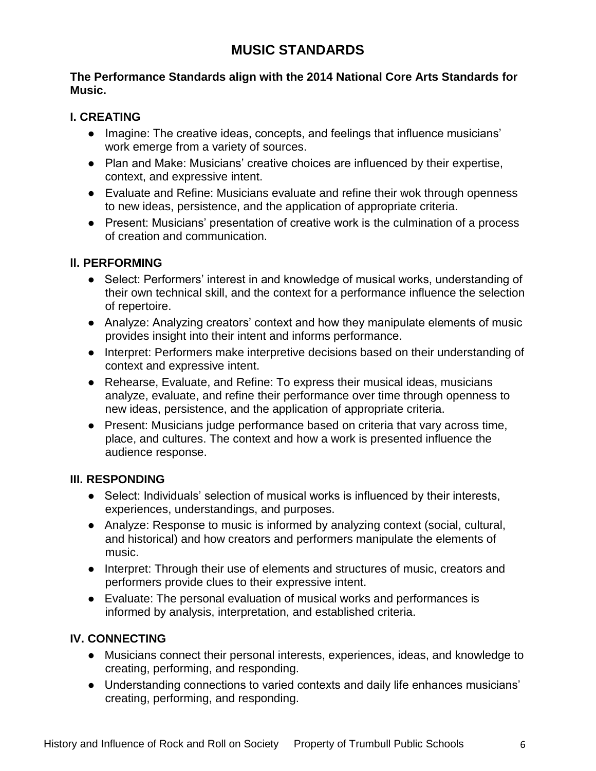# **MUSIC STANDARDS**

#### **The Performance Standards align with the 2014 National Core Arts Standards for Music.**

#### **I. CREATING**

- Imagine: The creative ideas, concepts, and feelings that influence musicians' work emerge from a variety of sources.
- Plan and Make: Musicians' creative choices are influenced by their expertise, context, and expressive intent.
- Evaluate and Refine: Musicians evaluate and refine their wok through openness to new ideas, persistence, and the application of appropriate criteria.
- Present: Musicians' presentation of creative work is the culmination of a process of creation and communication.

#### **ll. PERFORMING**

- Select: Performers' interest in and knowledge of musical works, understanding of their own technical skill, and the context for a performance influence the selection of repertoire.
- Analyze: Analyzing creators' context and how they manipulate elements of music provides insight into their intent and informs performance.
- Interpret: Performers make interpretive decisions based on their understanding of context and expressive intent.
- Rehearse, Evaluate, and Refine: To express their musical ideas, musicians analyze, evaluate, and refine their performance over time through openness to new ideas, persistence, and the application of appropriate criteria.
- Present: Musicians judge performance based on criteria that vary across time, place, and cultures. The context and how a work is presented influence the audience response.

#### **III. RESPONDING**

- Select: Individuals' selection of musical works is influenced by their interests, experiences, understandings, and purposes.
- Analyze: Response to music is informed by analyzing context (social, cultural, and historical) and how creators and performers manipulate the elements of music.
- Interpret: Through their use of elements and structures of music, creators and performers provide clues to their expressive intent.
- Evaluate: The personal evaluation of musical works and performances is informed by analysis, interpretation, and established criteria.

#### **IV. CONNECTING**

- Musicians connect their personal interests, experiences, ideas, and knowledge to creating, performing, and responding.
- Understanding connections to varied contexts and daily life enhances musicians' creating, performing, and responding.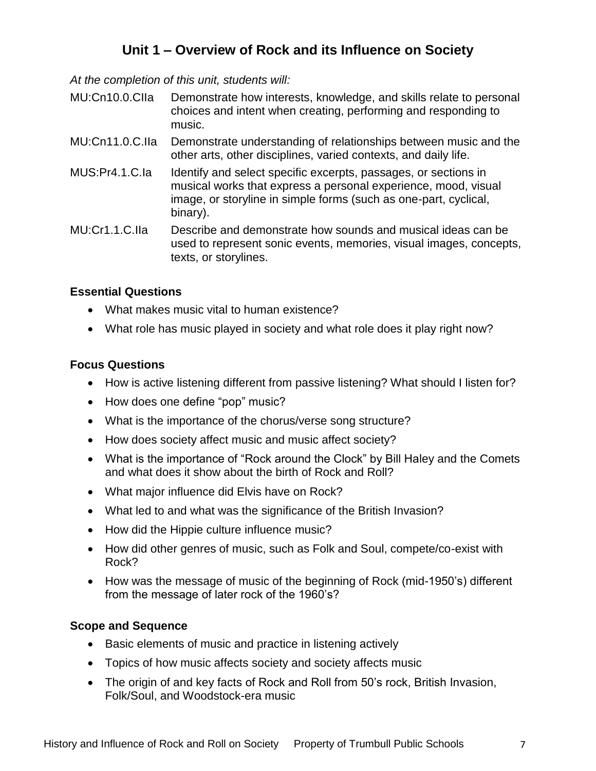# **Unit 1 – Overview of Rock and its Influence on Society**

*At the completion of this unit, students will:*

- MU:Cn10.0.CIIa Demonstrate how interests, knowledge, and skills relate to personal choices and intent when creating, performing and responding to music.
- MU:Cn11.0.C.IIa Demonstrate understanding of relationships between music and the other arts, other disciplines, varied contexts, and daily life.
- MUS:Pr4.1.C.Ia Identify and select specific excerpts, passages, or sections in musical works that express a personal experience, mood, visual image, or storyline in simple forms (such as one-part, cyclical, binary).

MU:Cr1.1.C.IIa Describe and demonstrate how sounds and musical ideas can be used to represent sonic events, memories, visual images, concepts, texts, or storylines.

#### **Essential Questions**

- What makes music vital to human existence?
- What role has music played in society and what role does it play right now?

#### **Focus Questions**

- How is active listening different from passive listening? What should I listen for?
- How does one define "pop" music?
- What is the importance of the chorus/verse song structure?
- How does society affect music and music affect society?
- What is the importance of "Rock around the Clock" by Bill Haley and the Comets and what does it show about the birth of Rock and Roll?
- What major influence did Elvis have on Rock?
- What led to and what was the significance of the British Invasion?
- How did the Hippie culture influence music?
- How did other genres of music, such as Folk and Soul, compete/co-exist with Rock?
- How was the message of music of the beginning of Rock (mid-1950's) different from the message of later rock of the 1960's?

#### **Scope and Sequence**

- Basic elements of music and practice in listening actively
- Topics of how music affects society and society affects music
- The origin of and key facts of Rock and Roll from 50's rock, British Invasion, Folk/Soul, and Woodstock-era music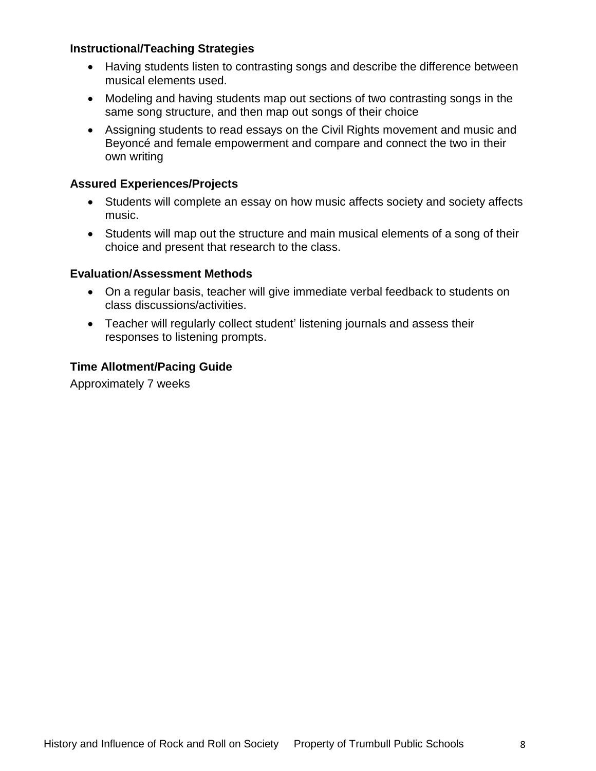#### **Instructional/Teaching Strategies**

- Having students listen to contrasting songs and describe the difference between musical elements used.
- Modeling and having students map out sections of two contrasting songs in the same song structure, and then map out songs of their choice
- Assigning students to read essays on the Civil Rights movement and music and Beyoncé and female empowerment and compare and connect the two in their own writing

#### **Assured Experiences/Projects**

- Students will complete an essay on how music affects society and society affects music.
- Students will map out the structure and main musical elements of a song of their choice and present that research to the class.

#### **Evaluation/Assessment Methods**

- On a regular basis, teacher will give immediate verbal feedback to students on class discussions/activities.
- Teacher will regularly collect student' listening journals and assess their responses to listening prompts.

#### **Time Allotment/Pacing Guide**

Approximately 7 weeks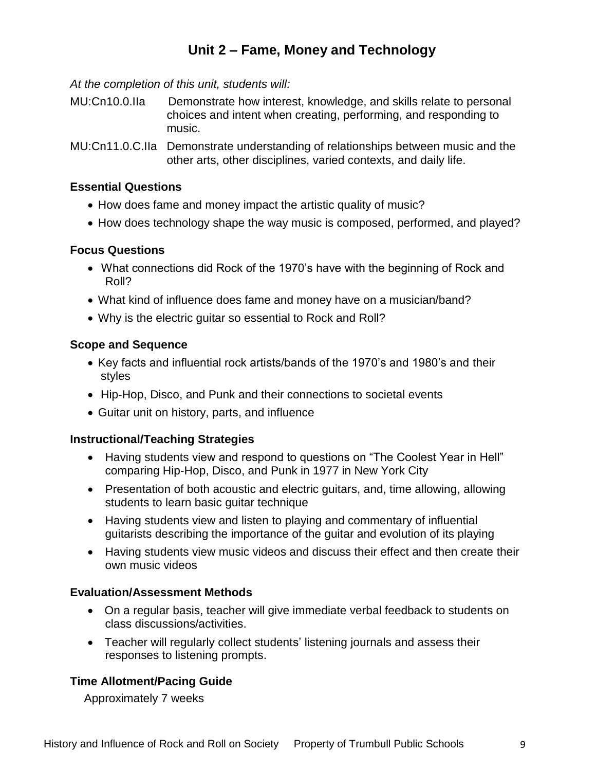# **Unit 2 – Fame, Money and Technology**

*At the completion of this unit, students will:*

- MU:Cn10.0.IIa Demonstrate how interest, knowledge, and skills relate to personal choices and intent when creating, performing, and responding to music.
- MU:Cn11.0.C.IIa Demonstrate understanding of relationships between music and the other arts, other disciplines, varied contexts, and daily life.

#### **Essential Questions**

- How does fame and money impact the artistic quality of music?
- How does technology shape the way music is composed, performed, and played?

#### **Focus Questions**

- What connections did Rock of the 1970's have with the beginning of Rock and Roll?
- What kind of influence does fame and money have on a musician/band?
- Why is the electric guitar so essential to Rock and Roll?

#### **Scope and Sequence**

- Key facts and influential rock artists/bands of the 1970's and 1980's and their styles
- Hip-Hop, Disco, and Punk and their connections to societal events
- Guitar unit on history, parts, and influence

#### **Instructional/Teaching Strategies**

- Having students view and respond to questions on "The Coolest Year in Hell" comparing Hip-Hop, Disco, and Punk in 1977 in New York City
- Presentation of both acoustic and electric quitars, and, time allowing, allowing students to learn basic guitar technique
- Having students view and listen to playing and commentary of influential guitarists describing the importance of the guitar and evolution of its playing
- Having students view music videos and discuss their effect and then create their own music videos

#### **Evaluation/Assessment Methods**

- On a regular basis, teacher will give immediate verbal feedback to students on class discussions/activities.
- Teacher will regularly collect students' listening journals and assess their responses to listening prompts.

#### **Time Allotment/Pacing Guide**

Approximately 7 weeks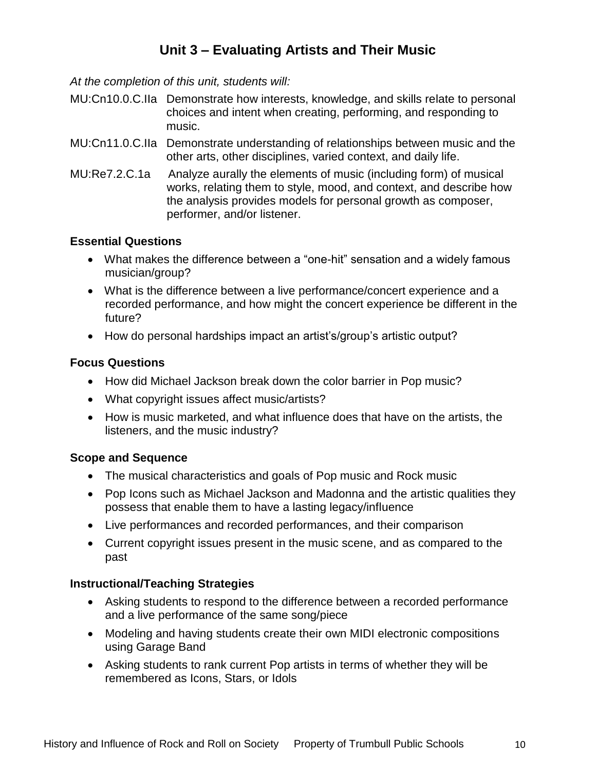# **Unit 3 – Evaluating Artists and Their Music**

*At the completion of this unit, students will:*

- MU:Cn10.0.C.IIa Demonstrate how interests, knowledge, and skills relate to personal choices and intent when creating, performing, and responding to music.
- MU:Cn11.0.C.IIa Demonstrate understanding of relationships between music and the other arts, other disciplines, varied context, and daily life.
- MU:Re7.2.C.1a Analyze aurally the elements of music (including form) of musical works, relating them to style, mood, and context, and describe how the analysis provides models for personal growth as composer, performer, and/or listener.

#### **Essential Questions**

- What makes the difference between a "one-hit" sensation and a widely famous musician/group?
- What is the difference between a live performance/concert experience and a recorded performance, and how might the concert experience be different in the future?
- How do personal hardships impact an artist's/group's artistic output?

#### **Focus Questions**

- How did Michael Jackson break down the color barrier in Pop music?
- What copyright issues affect music/artists?
- How is music marketed, and what influence does that have on the artists, the listeners, and the music industry?

#### **Scope and Sequence**

- The musical characteristics and goals of Pop music and Rock music
- Pop Icons such as Michael Jackson and Madonna and the artistic qualities they possess that enable them to have a lasting legacy/influence
- Live performances and recorded performances, and their comparison
- Current copyright issues present in the music scene, and as compared to the past

#### **Instructional/Teaching Strategies**

- Asking students to respond to the difference between a recorded performance and a live performance of the same song/piece
- Modeling and having students create their own MIDI electronic compositions using Garage Band
- Asking students to rank current Pop artists in terms of whether they will be remembered as Icons, Stars, or Idols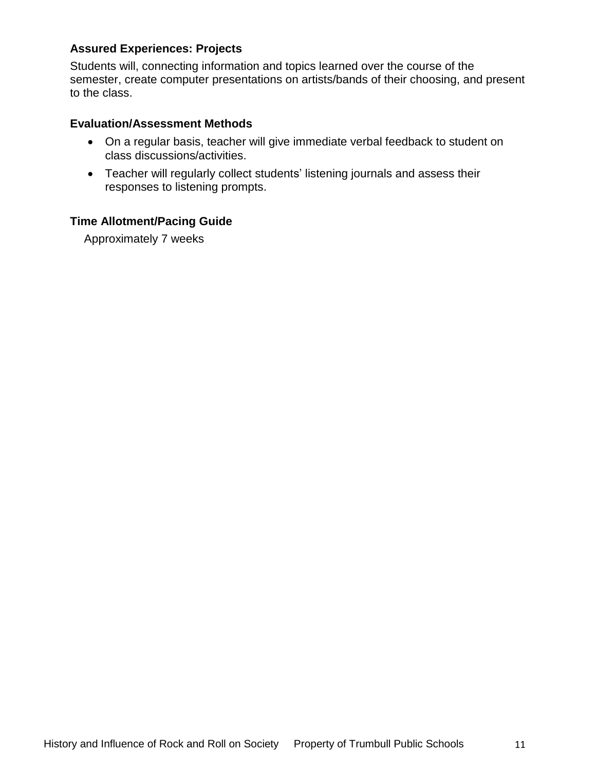#### **Assured Experiences: Projects**

Students will, connecting information and topics learned over the course of the semester, create computer presentations on artists/bands of their choosing, and present to the class.

#### **Evaluation/Assessment Methods**

- On a regular basis, teacher will give immediate verbal feedback to student on class discussions/activities.
- Teacher will regularly collect students' listening journals and assess their responses to listening prompts.

#### **Time Allotment/Pacing Guide**

Approximately 7 weeks